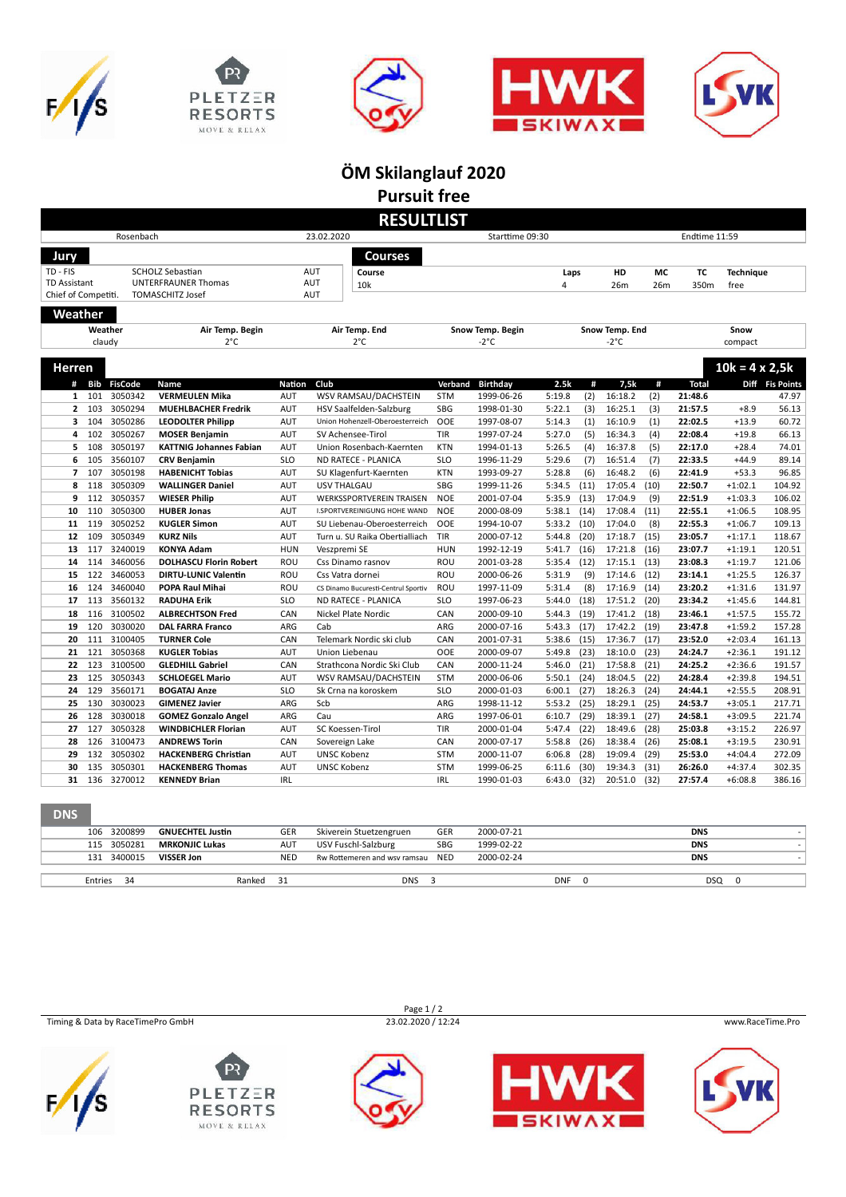









**ÖM Skilanglauf 2020 Pursuit free**

|                                                                                          |            |                             |                                                     |                          |                               | <b>RESULTLIST</b>                               |                          |                          |                  |              |                    |                  |                    |                        |                  |
|------------------------------------------------------------------------------------------|------------|-----------------------------|-----------------------------------------------------|--------------------------|-------------------------------|-------------------------------------------------|--------------------------|--------------------------|------------------|--------------|--------------------|------------------|--------------------|------------------------|------------------|
| Rosenbach                                                                                |            |                             |                                                     |                          | 23.02.2020<br>Starttime 09:30 |                                                 |                          |                          |                  |              | Endtime 11:59      |                  |                    |                        |                  |
| Jury                                                                                     |            |                             |                                                     |                          |                               | <b>Courses</b>                                  |                          |                          |                  |              |                    |                  |                    |                        |                  |
|                                                                                          |            |                             |                                                     |                          |                               |                                                 |                          |                          |                  |              |                    |                  |                    |                        |                  |
| TD - FIS<br><b>SCHOLZ Sebastian</b><br><b>TD Assistant</b><br><b>UNTERFRAUNER Thomas</b> |            | <b>AUT</b><br>Course<br>AUT |                                                     |                          |                               |                                                 | Laps                     |                          | HD               | MC           | TC                 | <b>Technique</b> |                    |                        |                  |
| Chief of Competiti.                                                                      |            |                             | TOMASCHITZ Josef                                    |                          | AUT                           | 10k                                             |                          |                          | $\overline{4}$   |              | 26m                | 26m              | 350m               | free                   |                  |
|                                                                                          |            |                             |                                                     |                          |                               |                                                 |                          |                          |                  |              |                    |                  |                    |                        |                  |
| Weather                                                                                  |            |                             |                                                     |                          |                               |                                                 |                          |                          |                  |              |                    |                  |                    |                        |                  |
| Weather<br>Air Temp. Begin                                                               |            |                             | Air Temp. End                                       |                          | Snow Temp. Begin              |                                                 | Snow Temp. End           |                          |                  |              | Snow               |                  |                    |                        |                  |
|                                                                                          | claudy     |                             | $2^{\circ}C$                                        |                          |                               | $2^{\circ}C$                                    |                          | -2°C                     |                  |              | -2°C               |                  |                    | compact                |                  |
| <b>Herren</b>                                                                            |            |                             |                                                     |                          |                               |                                                 |                          |                          |                  |              |                    |                  |                    | $10k = 4 \times 2,5k$  |                  |
|                                                                                          |            |                             |                                                     |                          |                               |                                                 |                          |                          |                  |              |                    |                  |                    |                        |                  |
| #                                                                                        | <b>Bib</b> | <b>FisCode</b>              | Name                                                | <b>Nation</b>            | Club                          |                                                 | Verband                  | Birthday                 | 2.5k             | #            | 7,5k               | #                | <b>Total</b>       |                        | Diff Fis Points  |
| $\mathbf{1}$<br>$\overline{2}$                                                           | 101<br>103 | 3050342<br>3050294          | <b>VERMEULEN Mika</b><br><b>MUEHLBACHER Fredrik</b> | <b>AUT</b><br><b>AUT</b> |                               | WSV RAMSAU/DACHSTEIN<br>HSV Saalfelden-Salzburg | <b>STM</b><br><b>SBG</b> | 1999-06-26<br>1998-01-30 | 5:19.8<br>5:22.1 | (2)<br>(3)   | 16:18.2<br>16:25.1 | (2)<br>(3)       | 21:48.6<br>21:57.5 | $+8.9$                 | 47.97<br>56.13   |
| з                                                                                        | 104        | 3050286                     | <b>LEODOLTER Philipp</b>                            | AUT                      |                               | Union Hohenzell-Oberoesterreich                 | OOE                      | 1997-08-07               | 5:14.3           | (1)          | 16:10.9            | (1)              | 22:02.5            | $+13.9$                | 60.72            |
| 4                                                                                        | 102        | 3050267                     | <b>MOSER Benjamin</b>                               | AUT                      |                               | SV Achensee-Tirol                               | <b>TIR</b>               | 1997-07-24               | 5:27.0           | (5)          | 16:34.3            | (4)              | 22:08.4            | $+19.8$                | 66.13            |
| 5                                                                                        | 108        | 3050197                     | <b>KATTNIG Johannes Fabian</b>                      | AUT                      |                               | Union Rosenbach-Kaernten                        | <b>KTN</b>               | 1994-01-13               | 5:26.5           | (4)          | 16:37.8            | (5)              | 22:17.0            | $+28.4$                | 74.01            |
| 6                                                                                        | 105        | 3560107                     | <b>CRV Benjamin</b>                                 | <b>SLO</b>               |                               | ND RATECE - PLANICA                             | <b>SLO</b>               | 1996-11-29               | 5:29.6           | (7)          | 16:51.4            | (7)              | 22:33.5            | $+44.9$                | 89.14            |
| $\overline{7}$                                                                           | 107        | 3050198                     | <b>HABENICHT Tobias</b>                             | <b>AUT</b>               |                               | SU Klagenfurt-Kaernten                          | <b>KTN</b>               | 1993-09-27               | 5:28.8           | (6)          | 16:48.2            | (6)              | 22:41.9            | $+53.3$                | 96.85            |
| 8                                                                                        | 118        | 3050309                     | <b>WALLINGER Daniel</b>                             | <b>AUT</b>               | <b>USV THALGAU</b>            |                                                 | <b>SBG</b>               | 1999-11-26               | 5:34.5           | (11)         | 17:05.4            | (10)             | 22:50.7            | $+1:02.1$              | 104.92           |
| 9                                                                                        | 112        | 3050357                     | <b>WIESER Philip</b>                                | <b>AUT</b>               |                               | <b>WERKSSPORTVEREIN TRAISEN</b>                 | <b>NOE</b>               | 2001-07-04               | 5:35.9           | (13)         | 17:04.9            | (9)              | 22:51.9            | $+1:03.3$              | 106.02           |
| 10                                                                                       | 110        | 3050300                     | <b>HUBER Jonas</b>                                  | <b>AUT</b>               |                               | I.SPORTVEREINIGUNG HOHE WAND                    | <b>NOE</b>               | 2000-08-09               | 5:38.1           | (14)         | 17:08.4            | (11)             | 22:55.1            | $+1:06.5$              | 108.95           |
| 11                                                                                       | 119        | 3050252                     | <b>KUGLER Simon</b>                                 | <b>AUT</b>               |                               | SU Liebenau-Oberoesterreich                     | <b>OOE</b>               | 1994-10-07               | 5:33.2           | (10)         | 17:04.0            | (8)              | 22:55.3            | $+1:06.7$              | 109.13           |
| 12                                                                                       | 109        | 3050349                     | <b>KURZ Nils</b>                                    | <b>AUT</b>               |                               | Turn u. SU Raika Obertialliach                  | <b>TIR</b>               | 2000-07-12               | 5:44.8           | (20)         | 17:18.7            | (15)             | 23:05.7            | $+1:17.1$              | 118.67           |
| 13                                                                                       | 117        | 3240019                     | <b>KONYA Adam</b>                                   | <b>HUN</b>               | Veszpremi SE                  |                                                 | <b>HUN</b>               | 1992-12-19               | 5:41.7           | (16)         | 17:21.8            | (16)             | 23:07.7            | $+1:19.1$              | 120.51           |
| 14                                                                                       | 114        | 3460056                     | <b>DOLHASCU Florin Robert</b>                       | ROU                      | Css Dinamo rasnov             |                                                 | ROU                      | 2001-03-28               | 5:35.4           | (12)         | 17:15.1            | (13)             | 23:08.3            | $+1:19.7$              | 121.06           |
| 15                                                                                       | 122        | 3460053                     | <b>DIRTU-LUNIC Valentin</b>                         | ROU                      |                               | Css Vatra dornei                                | <b>ROU</b>               | 2000-06-26               | 5:31.9           | (9)          | 17:14.6            | (12)             | 23:14.1            | $+1:25.5$              | 126.37           |
| 16                                                                                       | 124        | 3460040                     | POPA Raul Mihai                                     | ROU                      |                               | CS Dinamo Bucuresti-Centrul Sportiv             | ROU                      | 1997-11-09               | 5:31.4           | (8)          | 17:16.9            | (14)             | 23:20.2            | $+1:31.6$              | 131.97           |
| 17                                                                                       | 113        | 3560132                     | <b>RADUHA Erik</b>                                  | <b>SLO</b>               |                               | ND RATECE - PLANICA                             | <b>SLO</b>               | 1997-06-23               | 5:44.0           | (18)         | 17:51.2            | (20)             | 23:34.2            | $+1:45.6$              | 144.81           |
| 18                                                                                       | 116        | 3100502                     | <b>ALBRECHTSON Fred</b>                             | CAN                      |                               | Nickel Plate Nordic                             | CAN                      | 2000-09-10               | 5:44.3           | (19)         | 17:41.2            | (18)             | 23:46.1            | $+1:57.5$              | 155.72           |
| 19                                                                                       | 120        | 3030020                     | <b>DAL FARRA Franco</b>                             | ARG                      | Cab                           |                                                 | ARG                      | 2000-07-16               | 5:43.3           | (17)         | 17:42.2            | (19)             | 23:47.8            | $+1:59.2$              | 157.28           |
| 20                                                                                       | 111        | 3100405                     | <b>TURNER Cole</b>                                  | CAN                      |                               | Telemark Nordic ski club                        | CAN                      | 2001-07-31               | 5:38.6           | (15)         | 17:36.7            | (17)             | 23:52.0            | $+2:03.4$              | 161.13           |
| 21                                                                                       | 121        | 3050368                     | <b>KUGLER Tobias</b>                                | AUT                      |                               | Union Liebenau                                  | <b>OOE</b>               | 2000-09-07               | 5:49.8           | (23)         | 18:10.0            | (23)             | 24:24.7            | $+2:36.1$              | 191.12           |
| 22                                                                                       | 123        | 3100500<br>3050343          | <b>GLEDHILL Gabriel</b>                             | CAN                      |                               | Strathcona Nordic Ski Club                      | CAN<br><b>STM</b>        | 2000-11-24               | 5:46.0           | (21)         | 17:58.8            | (21)             | 24:25.2            | $+2:36.6$              | 191.57           |
| 23                                                                                       | 125        |                             | <b>SCHLOEGEL Mario</b>                              | <b>AUT</b>               |                               | WSV RAMSAU/DACHSTEIN                            |                          | 2000-06-06               | 5:50.1           | (24)         | 18:04.5            | (22)             | 24:28.4            | $+2:39.8$              | 194.51           |
| 24<br>25                                                                                 | 129<br>130 | 3560171<br>3030023          | <b>BOGATAJ Anze</b><br><b>GIMENEZ Javier</b>        | <b>SLO</b><br>ARG        | Scb                           | Sk Crna na koroskem                             | <b>SLO</b><br>ARG        | 2000-01-03<br>1998-11-12 | 6:00.1           | (27)<br>(25) | 18:26.3<br>18:29.1 | (24)<br>(25)     | 24:44.1<br>24:53.7 | $+2:55.5$<br>$+3:05.1$ | 208.91           |
| 26                                                                                       | 128        | 3030018                     | <b>GOMEZ Gonzalo Angel</b>                          | ARG                      | Cau                           |                                                 | ARG                      | 1997-06-01               | 5:53.2<br>6:10.7 | (29)         | 18:39.1            | (27)             | 24:58.1            | $+3:09.5$              | 217.71<br>221.74 |
| 27                                                                                       | 127        | 3050328                     | <b>WINDBICHLER Florian</b>                          | <b>AUT</b>               |                               | SC Koessen-Tirol                                | TIR                      | 2000-01-04               | 5:47.4           | (22)         | 18:49.6            | (28)             | 25:03.8            | $+3:15.2$              | 226.97           |
| 28                                                                                       | 126        | 3100473                     | <b>ANDREWS Torin</b>                                | CAN                      | Sovereign Lake                |                                                 | CAN                      | 2000-07-17               | 5:58.8           | (26)         | 18:38.4            | (26)             | 25:08.1            | $+3:19.5$              | 230.91           |
| 29                                                                                       | 132        | 3050302                     | <b>HACKENBERG Christian</b>                         | AUT                      | <b>UNSC Kobenz</b>            |                                                 | <b>STM</b>               | 2000-11-07               | 6:06.8           | (28)         | 19:09.4            | (29)             | 25:53.0            | $+4:04.4$              | 272.09           |
| 30                                                                                       | 135        | 3050301                     | <b>HACKENBERG Thomas</b>                            | <b>AUT</b>               | <b>UNSC Kobenz</b>            |                                                 | <b>STM</b>               | 1999-06-25               | 6:11.6           | (30)         | 19:34.3            | (31)             | 26:26.0            | $+4:37.4$              | 302.35           |
| 31                                                                                       | 136        | 3270012                     | <b>KENNEDY Brian</b>                                | <b>IRL</b>               |                               |                                                 | <b>IRL</b>               | 1990-01-03               | 6:43.0           | (32)         | 20:51.0            | (32)             | 27:57.4            | $+6:08.8$              | 386.16           |
|                                                                                          |            |                             |                                                     |                          |                               |                                                 |                          |                          |                  |              |                    |                  |                    |                        |                  |
| <b>DNS</b>                                                                               |            |                             |                                                     |                          |                               |                                                 |                          |                          |                  |              |                    |                  |                    |                        |                  |
|                                                                                          | 106        | 3200899                     | <b>GNUECHTEL Justin</b>                             | GER                      |                               | Skiverein Stuetzengruen                         | GER                      | 2000-07-21               |                  |              |                    |                  | <b>DNS</b>         |                        |                  |

| 106 3200899    | <b>GNUECHTEL Justin</b> | GER        | Skiverein Stuetzengruen      | <b>GER</b> | 2000-07-21 |     | <b>DNS</b>      |  |
|----------------|-------------------------|------------|------------------------------|------------|------------|-----|-----------------|--|
| 115 3050281    | <b>MRKONJIC Lukas</b>   | <b>AUT</b> | USV Fuschl-Salzburg          | <b>SBG</b> | 1999-02-22 |     | <b>DNS</b>      |  |
| 131 3400015    | VISSER Jon              |            | Rw Rottemeren and wsv ramsau | <b>NED</b> | 2000-02-24 |     | <b>DNS</b>      |  |
|                |                         |            |                              |            |            |     |                 |  |
| Entries<br>-34 | Ranked                  | - 31       | DNS                          |            |            | DNF | <b>DSQ</b><br>0 |  |
|                |                         |            |                              |            |            |     |                 |  |